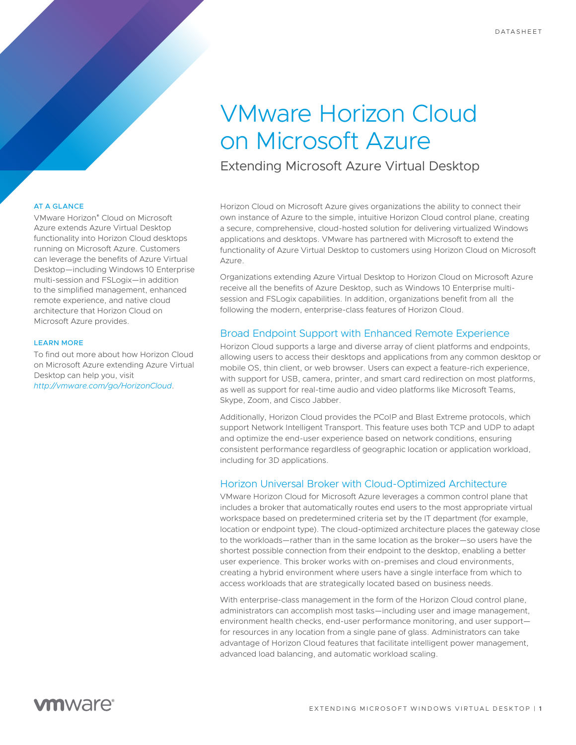# VMware Horizon Cloud on Microsoft Azure

Extending Microsoft Azure Virtual Desktop

AT A GLANCE

VMware Horizon® Cloud on Microsoft Azure extends Azure Virtual Desktop functionality into Horizon Cloud desktops running on Microsoft Azure. Customers can leverage the benefits of Azure Virtual Desktop—including Windows 10 Enterprise multi-session and FSLogix—in addition to the simplified management, enhanced remote experience, and native cloud architecture that Horizon Cloud on Microsoft Azure provides.

#### LEARN MORE

To find out more about how Horizon Cloud on Microsoft Azure extending Azure Virtual Desktop can help you, visit *<http://vmware.com/go/HorizonCloud>*.

Horizon Cloud on Microsoft Azure gives organizations the ability to connect their own instance of Azure to the simple, intuitive Horizon Cloud control plane, creating a secure, comprehensive, cloud-hosted solution for delivering virtualized Windows applications and desktops. VMware has partnered with Microsoft to extend the functionality of Azure Virtual Desktop to customers using Horizon Cloud on Microsoft Azure.

Organizations extending Azure Virtual Desktop to Horizon Cloud on Microsoft Azure receive all the benefits of Azure Desktop, such as Windows 10 Enterprise multisession and FSLogix capabilities. In addition, organizations benefit from all the following the modern, enterprise-class features of Horizon Cloud.

## Broad Endpoint Support with Enhanced Remote Experience

Horizon Cloud supports a large and diverse array of client platforms and endpoints, allowing users to access their desktops and applications from any common desktop or mobile OS, thin client, or web browser. Users can expect a feature-rich experience, with support for USB, camera, printer, and smart card redirection on most platforms, as well as support for real-time audio and video platforms like Microsoft Teams, Skype, Zoom, and Cisco Jabber.

Additionally, Horizon Cloud provides the PCoIP and Blast Extreme protocols, which support Network Intelligent Transport. This feature uses both TCP and UDP to adapt and optimize the end-user experience based on network conditions, ensuring consistent performance regardless of geographic location or application workload, including for 3D applications.

## Horizon Universal Broker with Cloud-Optimized Architecture

VMware Horizon Cloud for Microsoft Azure leverages a common control plane that includes a broker that automatically routes end users to the most appropriate virtual workspace based on predetermined criteria set by the IT department (for example, location or endpoint type). The cloud-optimized architecture places the gateway close to the workloads—rather than in the same location as the broker—so users have the shortest possible connection from their endpoint to the desktop, enabling a better user experience. This broker works with on-premises and cloud environments, creating a hybrid environment where users have a single interface from which to access workloads that are strategically located based on business needs.

With enterprise-class management in the form of the Horizon Cloud control plane, administrators can accomplish most tasks—including user and image management, environment health checks, end-user performance monitoring, and user support for resources in any location from a single pane of glass. Administrators can take advantage of Horizon Cloud features that facilitate intelligent power management, advanced load balancing, and automatic workload scaling.